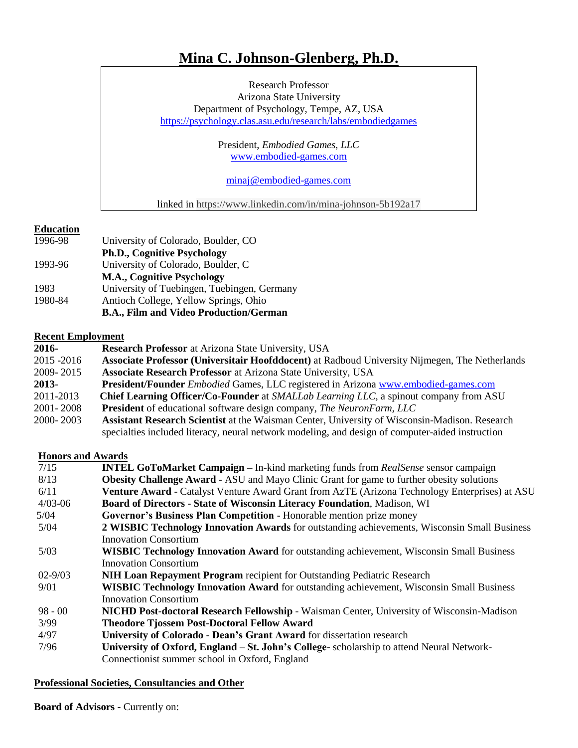# **Mina C. Johnson-Glenberg, Ph.D.**

Research Professor Arizona State University Department of Psychology, Tempe, AZ, USA <https://psychology.clas.asu.edu/research/labs/embodiedgames>

> President, *Embodied Games, LLC* [www.embodied-games.com](http://www.embodied-games.com/)

[minaj@embodied-games.com](mailto:minaj@embodied-games.com)

linked in https://www.linkedin.com/in/mina-johnson-5b192a17

# **Education**

1996-98 University of Colorado, Boulder, CO **Ph.D., Cognitive Psychology** 1993-96 University of Colorado, Boulder, C **M.A., Cognitive Psychology** 1983 University of Tuebingen, Tuebingen, Germany 1980-84 Antioch College, Yellow Springs, Ohio **B.A., Film and Video Production/German**

# **Recent Employment**

**2016- Research Professor** at Arizona State University, USA 2015 -2016 **Associate Professor (Universitair Hoofddocent)** at Radboud University Nijmegen, The Netherlands 2009- 2015 **Associate Research Professor** at Arizona State University, USA **2013**- **President/Founder** *Embodied* Games, LLC registered in Arizona [www.embodied-games.com](http://www.embodied-games.com/) 2011-2013 **Chief Learning Officer/Co-Founder** at *SMALLab Learning LLC*, a spinout company from ASU 2001- 2008 **President** of educational software design company, *The NeuronFarm, LLC* 2000- 2003 **Assistant Research Scientist** at the Waisman Center, University of Wisconsin-Madison. Research specialties included literacy, neural network modeling, and design of computer-aided instruction

# **Honors and Awards**

| 7/15        | <b>INTEL GoToMarket Campaign – In-kind marketing funds from RealSense sensor campaign</b>             |
|-------------|-------------------------------------------------------------------------------------------------------|
| 8/13        | <b>Obesity Challenge Award - ASU</b> and Mayo Clinic Grant for game to further obesity solutions      |
| 6/11        | <b>Venture Award</b> - Catalyst Venture Award Grant from AzTE (Arizona Technology Enterprises) at ASU |
| $4/03 - 06$ | <b>Board of Directors - State of Wisconsin Literacy Foundation, Madison, WI</b>                       |
| 5/04        | Governor's Business Plan Competition - Honorable mention prize money                                  |
| 5/04        | 2 WISBIC Technology Innovation Awards for outstanding achievements, Wisconsin Small Business          |
|             | <b>Innovation Consortium</b>                                                                          |
| 5/03        | <b>WISBIC Technology Innovation Award</b> for outstanding achievement, Wisconsin Small Business       |
|             | <b>Innovation Consortium</b>                                                                          |
| $02 - 9/03$ | <b>NIH Loan Repayment Program</b> recipient for Outstanding Pediatric Research                        |
| 9/01        | <b>WISBIC Technology Innovation Award</b> for outstanding achievement, Wisconsin Small Business       |
|             | <b>Innovation Consortium</b>                                                                          |
| $98 - 00$   | <b>NICHD Post-doctoral Research Fellowship - Waisman Center, University of Wisconsin-Madison</b>      |
| 3/99        | <b>Theodore Tjossem Post-Doctoral Fellow Award</b>                                                    |
| 4/97        | University of Colorado - Dean's Grant Award for dissertation research                                 |
| 7/96        | University of Oxford, England – St. John's College- scholarship to attend Neural Network-             |
|             | Connection ist summer school in Oxford, England                                                       |

# **Professional Societies, Consultancies and Other**

**Board of Advisors -** Currently on: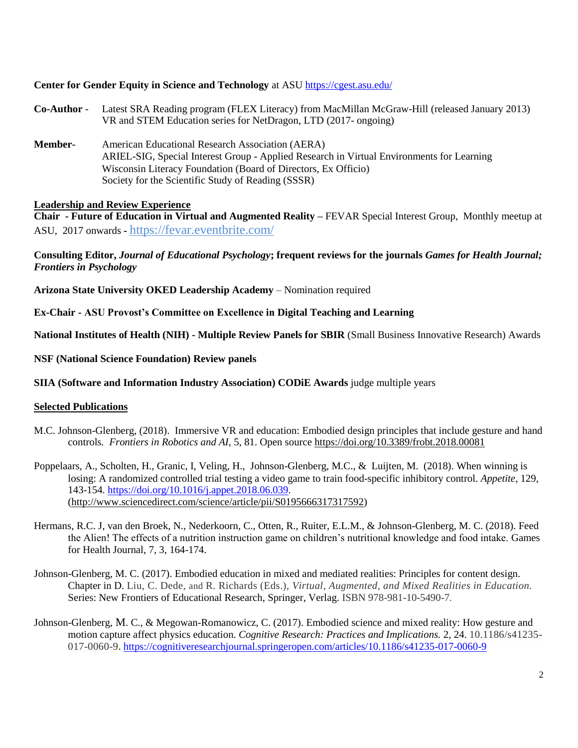# **Center for Gender Equity in Science and Technology** at ASU<https://cgest.asu.edu/>

- **Co-Author** Latest SRA Reading program (FLEX Literacy) from MacMillan McGraw-Hill (released January 2013) VR and STEM Education series for NetDragon, LTD (2017- ongoing)
- **Member-** American Educational Research Association (AERA) ARIEL-SIG, Special Interest Group - Applied Research in Virtual Environments for Learning Wisconsin Literacy Foundation (Board of Directors, Ex Officio) Society for the Scientific Study of Reading (SSSR)

# **Leadership and Review Experience**

**Chair - Future of Education in Virtual and Augmented Reality –** FEVAR Special Interest Group, Monthly meetup at ASU, 2017 onwards **-** <https://fevar.eventbrite.com/>

# **Consulting Editor,** *Journal of Educational Psychology***; frequent reviews for the journals** *Games for Health Journal; Frontiers in Psychology*

**Arizona State University OKED Leadership Academy** – Nomination required

**Ex-Chair - ASU Provost's Committee on Excellence in Digital Teaching and Learning**

**National Institutes of Health (NIH) - Multiple Review Panels for SBIR** (Small Business Innovative Research) Awards

**NSF (National Science Foundation) Review panels**

**SIIA (Software and Information Industry Association) CODiE Awards** judge multiple years

# **Selected Publications**

- M.C. Johnson-Glenberg, (2018). Immersive VR and education: Embodied design principles that include gesture and hand controls*. Frontiers in Robotics and AI*, 5, 81. Open source <https://doi.org/10.3389/frobt.2018.00081>
- Poppelaars, A., Scholten, H., Granic, I, Veling, H., Johnson-Glenberg, M.C., & Luijten, M. (2018). When winning is losing: A randomized controlled trial testing a video game to train food-specific inhibitory control. *Appetite*, 129, 143-154. [https://doi.org/10.1016/j.appet.2018.06.039.](https://doi.org/10.1016/j.appet.2018.06.039) [\(http://www.sciencedirect.com/science/article/pii/S0195666317317592\)](http://www.sciencedirect.com/science/article/pii/S0195666317317592)
- Hermans, R.C. J, van den Broek, N., Nederkoorn, C., Otten, R., Ruiter, E.L.M., & Johnson-Glenberg, M. C. (2018). Feed the Alien! The effects of a nutrition instruction game on children's nutritional knowledge and food intake. Games for Health Journal, 7, 3, 164-174.
- Johnson-Glenberg, M. C. (2017). Embodied education in mixed and mediated realities: Principles for content design. Chapter in D. Liu, C. Dede, and R. Richards (Eds.), *Virtual, Augmented, and Mixed Realities in Education.*  Series: New Frontiers of Educational Research, Springer, Verlag. ISBN 978-981-10-5490-7.
- Johnson-Glenberg, M. C., & Megowan-Romanowicz, C. (2017). Embodied science and mixed reality: How gesture and motion capture affect physics education. *Cognitive Research: Practices and Implications.* 2, 24. 10.1186/s41235- 017-0060-9. <https://cognitiveresearchjournal.springeropen.com/articles/10.1186/s41235-017-0060-9>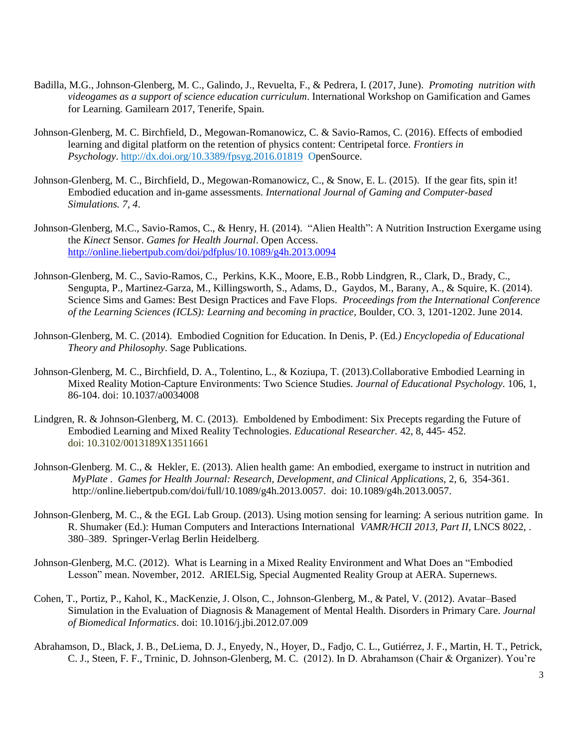- Badilla, M.G., Johnson-Glenberg, M. C., Galindo, J., Revuelta, F., & Pedrera, I. (2017, June). *Promoting nutrition with videogames as a support of science education curriculum*. International Workshop on Gamification and Games for Learning. Gamilearn 2017, Tenerife, Spain.
- Johnson-Glenberg, M. C. Birchfield, D., Megowan-Romanowicz, C. & Savio-Ramos, C. (2016). Effects of embodied learning and digital platform on the retention of physics content: Centripetal force. *Frontiers in Psychology*. <http://dx.doi.org/10.3389/fpsyg.2016.01819>OpenSource.
- Johnson-Glenberg, M. C., Birchfield, D., Megowan-Romanowicz, C., & Snow, E. L. (2015). If the gear fits, spin it! Embodied education and in-game assessments*. International Journal of Gaming and Computer-based Simulations. 7, 4*.
- Johnson-Glenberg, M.C., Savio-Ramos, C., & Henry, H. (2014). "Alien Health": A Nutrition Instruction Exergame using the *Kinect* Sensor. *Games for Health Journal*. Open Access. <http://online.liebertpub.com/doi/pdfplus/10.1089/g4h.2013.0094>
- Johnson-Glenberg, M. C., Savio-Ramos, C., Perkins, K.K., Moore, E.B., Robb Lindgren, R., Clark, D., Brady, C., Sengupta, P., Martinez-Garza, M., Killingsworth, S., Adams, D., Gaydos, M., Barany, A., & Squire, K. (2014). Science Sims and Games: Best Design Practices and Fave Flops. *Proceedings from the International Conference of the Learning Sciences (ICLS): Learning and becoming in practice,* Boulder, CO. 3, 1201-1202. June 2014.
- Johnson-Glenberg, M. C. (2014). Embodied Cognition for Education. In Denis, P. (Ed*.) Encyclopedia of Educational Theory and Philosophy*. Sage Publications.
- Johnson-Glenberg, M. C., Birchfield, D. A., Tolentino, L., & Koziupa, T. (2013).Collaborative Embodied Learning in Mixed Reality Motion-Capture Environments: Two Science Studies*. Journal of Educational Psychology.* 106, 1, 86-104. doi: 10.1037/a0034008
- Lindgren, R. & Johnson-Glenberg, M. C. (2013). Emboldened by Embodiment: Six Precepts regarding the Future of Embodied Learning and Mixed Reality Technologies. *Educational Researcher.* 42, 8, 445- 452. doi: 10.3102/0013189X13511661
- Johnson-Glenberg. M. C., & Hekler, E. (2013). Alien health game: An embodied, exergame to instruct in nutrition and *MyPlate* . *Games for Health Journal: Research, Development, and Clinical Applications,* 2, 6, 354-361. http://online.liebertpub.com/doi/full/10.1089/g4h.2013.0057. doi: 10.1089/g4h.2013.0057.
- Johnson-Glenberg, M. C., & the EGL Lab Group. (2013). Using motion sensing for learning: A serious nutrition game. In R. Shumaker (Ed.): Human Computers and Interactions International *VAMR/HCII 2013, Part II,* LNCS 8022, . 380–389. Springer-Verlag Berlin Heidelberg.
- Johnson-Glenberg, M.C. (2012). [What is Learning in a Mixed Reality Environment and What Does an "Embodied](http://arvelsig.wordpress.com/2012/11/05/what-is-learning-in-a-mixed-reality-environment-and-what-does-an-embodied-lesson-mean/)  [Lesson" mean.](http://arvelsig.wordpress.com/2012/11/05/what-is-learning-in-a-mixed-reality-environment-and-what-does-an-embodied-lesson-mean/) November, 2012. ARIELSig, Special Augmented Reality Group at AERA. Supernews.
- Cohen, T., Portiz, P., Kahol, K., MacKenzie, J. Olson, C., Johnson-Glenberg, M., & Patel, V. (2012). Avatar–Based Simulation in the Evaluation of Diagnosis & Management of Mental Health. Disorders in Primary Care. *Journal of Biomedical Informatics*. doi: 10.1016/j.jbi.2012.07.009
- Abrahamson, D., Black, J. B., DeLiema, D. J., Enyedy, N., Hoyer, D., Fadjo, C. L., Gutiérrez, J. F., Martin, H. T., Petrick, C. J., Steen, F. F., Trninic, D. Johnson-Glenberg, M. C. (2012). In D. Abrahamson (Chair & Organizer). You're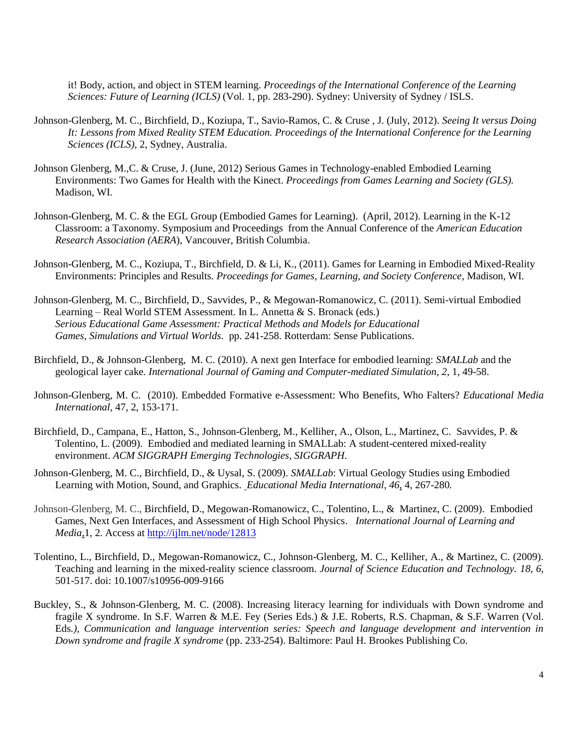it! Body, action, and object in STEM learning. *Proceedings of the International Conference of the Learning Sciences: Future of Learning (ICLS)* (Vol. 1, pp. 283-290). Sydney: University of Sydney / ISLS.

- Johnson-Glenberg, M. C., Birchfield, D., Koziupa, T., Savio-Ramos, C. & Cruse , J. (July, 2012). *Seeing It versus Doing It: Lessons from Mixed Reality STEM Education. Proceedings of the International Conference for the Learning Sciences (ICLS),* 2, Sydney, Australia.
- Johnson Glenberg, M.,C. & Cruse, J. (June, 2012) Serious Games in Technology-enabled Embodied Learning Environments: Two Games for Health with the Kinect. *Proceedings from Games Learning and Society (GLS).* Madison, WI.
- Johnson-Glenberg, M. C. & the EGL Group (Embodied Games for Learning). (April, 2012). Learning in the K-12 Classroom: a Taxonomy. Symposium and Proceedings from the Annual Conference of the *American Education Research Association (AERA*), Vancouver, British Columbia.
- Johnson-Glenberg, M. C., Koziupa, T., Birchfield, D. & Li, K., (2011). Games for Learning in Embodied Mixed-Reality Environments: Principles and Results. *Proceedings for Games, Learning, and Society Conference*, Madison, WI.
- Johnson-Glenberg, M. C., Birchfield, D., Savvides, P., & Megowan-Romanowicz, C. (2011). Semi-virtual Embodied Learning – Real World STEM Assessment. In L. Annetta & S. Bronack (eds.) *Serious Educational Game Assessment: Practical Methods and Models for Educational Games, Simulations and Virtual Worlds*. pp. 241-258. Rotterdam: Sense Publications.
- Birchfield, D., & Johnson-Glenberg, M. C. (2010). A next gen Interface for embodied learning: *SMALLab* and the geological layer cake*. International Journal of Gaming and Computer-mediated Simulation*, *2*, 1, 49-58.
- Johnson-Glenberg, M. C. (2010). Embedded Formative e-Assessment: Who Benefits, Who Falters? *Educational Media International*, 47, 2, 153-171.
- Birchfield, D., Campana, E., Hatton, S., Johnson-Glenberg, M., Kelliher, A., Olson, L., Martinez, C. Savvides, P. & Tolentino, L. (2009). [Embodied and mediated learning in SMALLab: A student-centered mixed-reality](http://www.experts.scival.com/asu/pubDetail.asp?t=pm&id=73049088677&n=David+A+Birchfield&u_id=733)  [environment.](http://www.experts.scival.com/asu/pubDetail.asp?t=pm&id=73049088677&n=David+A+Birchfield&u_id=733) *ACM SIGGRAPH Emerging Technologies, SIGGRAPH*.
- Johnson-Glenberg, M. C., Birchfield, D., & Uysal, S. (2009). *SMALLab*: Virtual Geology Studies using Embodied Learning with Motion, Sound, and Graphics. *Educational Media International, 46*, 4, 267-280*.*
- Johnson-Glenberg, M. C., Birchfield, D., Megowan-Romanowicz, C., Tolentino, L., & Martinez, C. (2009). [Embodied](http://ijlm.net/knowinganddoing/10.1162/ijlm.2009.0017)  [Games, Next Gen Interfaces, and Assessment of High School Physics.](http://ijlm.net/knowinganddoing/10.1162/ijlm.2009.0017) *International Journal of Learning and Media*,1, 2. Access at <http://ijlm.net/node/12813>
- Tolentino, L., Birchfield, D., Megowan-Romanowicz, C., Johnson-Glenberg, M. C., Kelliher, A., & Martinez, C. (2009). Teaching and learning in the mixed-reality science classroom. *Journal of Science Education and Technology. 18, 6*, 501-517. doi: 10.1007/s10956-009-9166
- Buckley, S., & Johnson-Glenberg, M. C. (2008). Increasing literacy learning for individuals with Down syndrome and fragile X syndrome. In S.F. Warren & M.E. Fey (Series Eds.) & J.E. Roberts, R.S. Chapman, & S.F. Warren (Vol. Eds*.), Communication and language intervention series: Speech and language development and intervention in Down syndrome and fragile X syndrome* (pp. 233-254). Baltimore: Paul H. Brookes Publishing Co.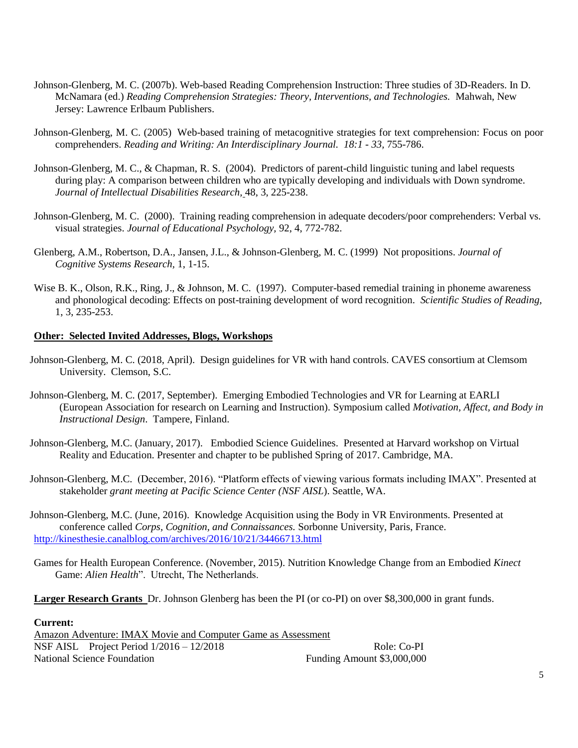- Johnson-Glenberg, M. C. (2007b). Web-based Reading Comprehension Instruction: Three studies of 3D-Readers. In D. McNamara (ed.) *Reading Comprehension Strategies: Theory, Interventions, and Technologies.* Mahwah, New Jersey: Lawrence Erlbaum Publishers.
- Johnson-Glenberg, M. C. (2005) Web-based training of metacognitive strategies for text comprehension: Focus on poor comprehenders. *Reading and Writing: An Interdisciplinary Journal. 18:1 - 33,* 755-786.
- Johnson-Glenberg, M. C., & Chapman, R. S. (2004). Predictors of parent-child linguistic tuning and label requests during play: A comparison between children who are typically developing and individuals with Down syndrome. *Journal of Intellectual Disabilities Research,* 48, 3, 225-238.
- Johnson-Glenberg, M. C. (2000). Training reading comprehension in adequate decoders/poor comprehenders: Verbal vs. visual strategies. *Journal of Educational Psychology,* 92, 4, 772-782.
- Glenberg, A.M., Robertson, D.A., Jansen, J.L., & Johnson-Glenberg, M. C. (1999) Not propositions. *Journal of Cognitive Systems Research,* 1, 1-15.
- Wise B. K., Olson, R.K., Ring, J., & Johnson, M. C. (1997). Computer-based remedial training in phoneme awareness and phonological decoding: Effects on post-training development of word recognition. *Scientific Studies of Reading,*  1, 3, 235-253.

#### **Other: Selected Invited Addresses, Blogs, Workshops**

- Johnson-Glenberg, M. C. (2018, April). Design guidelines for VR with hand controls. CAVES consortium at Clemsom University. Clemson, S.C.
- Johnson-Glenberg, M. C. (2017, September). Emerging Embodied Technologies and VR for Learning at EARLI (European Association for research on Learning and Instruction). Symposium called *Motivation, Affect, and Body in Instructional Design*. Tampere, Finland.
- Johnson-Glenberg, M.C. (January, 2017). Embodied Science Guidelines. Presented at Harvard workshop on Virtual Reality and Education. Presenter and chapter to be published Spring of 2017. Cambridge, MA.
- Johnson-Glenberg, M.C. (December, 2016). "Platform effects of viewing various formats including IMAX". Presented at stakeholder *grant meeting at Pacific Science Center (NSF AISL*). Seattle, WA.

Johnson-Glenberg, M.C. (June, 2016). Knowledge Acquisition using the Body in VR Environments. Presented at conference called *Corps, Cognition, and Connaissances.* Sorbonne University, Paris, France. <http://kinesthesie.canalblog.com/archives/2016/10/21/34466713.html>

Games for Health European Conference. (November, 2015). Nutrition Knowledge Change from an Embodied *Kinect* Game: *Alien Health*". Utrecht, The Netherlands.

**Larger Research Grants** Dr. Johnson Glenberg has been the PI (or co-PI) on over \$8,300,000 in grant funds.

#### **Current:**

Amazon Adventure: IMAX Movie and Computer Game as Assessment NSF AISL Project Period  $1/2016 - 12/2018$  Role: Co-PI National Science Foundation **Funding Amount \$3,000,000**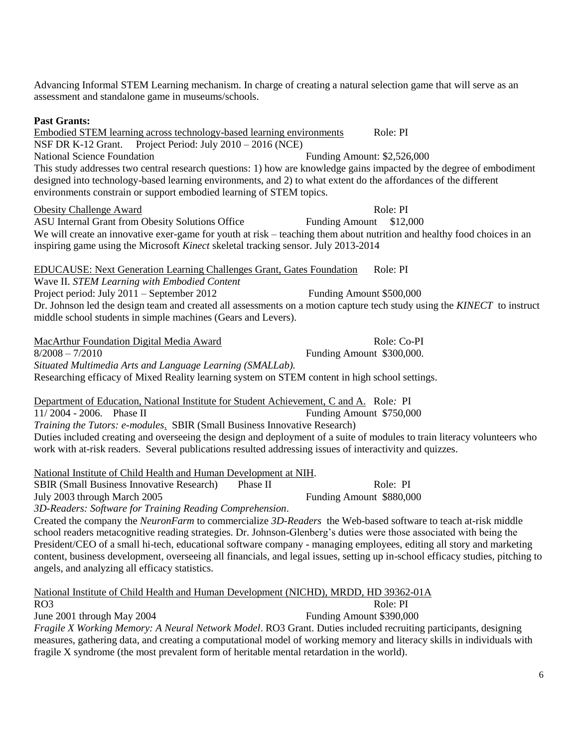Advancing Informal STEM Learning mechanism. In charge of creating a natural selection game that will serve as an assessment and standalone game in museums/schools.

# **Past Grants:**

Embodied STEM learning across technology-based learning environments Role: PI NSF DR K-12 Grant. Project Period: July 2010 – 2016 (NCE) National Science Foundation Funding Amount: \$2,526,000 This study addresses two central research questions: 1) how are knowledge gains impacted by the degree of embodiment designed into technology-based learning environments, and 2) to what extent do the affordances of the different environments constrain or support embodied learning of STEM topics.

#### Obesity Challenge Award Role: PI

ASU Internal Grant from Obesity Solutions Office Funding Amount \$12,000 We will create an innovative exer-game for youth at risk – teaching them about nutrition and healthy food choices in an inspiring game using the Microsoft *Kinect* skeletal tracking sensor. July 2013-2014

EDUCAUSE: Next Generation Learning Challenges Grant, Gates Foundation Role: PI Wave II. *STEM Learning with Embodied Content* Project period: July 2011 – September 2012 Funding Amount \$500,000 Dr. Johnson led the design team and created all assessments on a motion capture tech study using the *KINECT* to instruct middle school students in simple machines (Gears and Levers).

MacArthur Foundation Digital Media Award Role: Co-PI 8/2008 – 7/2010 Funding Amount \$300,000. *Situated Multimedia Arts and Language Learning (SMALLab).* Researching efficacy of Mixed Reality learning system on STEM content in high school settings.

Department of Education, National Institute for Student Achievement, C and A. Role*:* PI 11/ 2004 - 2006. Phase II Funding Amount \$750,000 *Training the Tutors: e-modules*. SBIR (Small Business Innovative Research) Duties included creating and overseeing the design and deployment of a suite of modules to train literacy volunteers who work with at-risk readers. Several publications resulted addressing issues of interactivity and quizzes.

National Institute of Child Health and Human Development at NIH.

SBIR (Small Business Innovative Research) Phase II Role: PI July 2003 through March 2005 Funding Amount \$880,000

*3D-Readers: Software for Training Reading Comprehension*.

Created the company the *NeuronFarm* to commercialize *3D-Readers* the Web-based software to teach at-risk middle school readers metacognitive reading strategies. Dr. Johnson-Glenberg's duties were those associated with being the President/CEO of a small hi-tech, educational software company - managing employees, editing all story and marketing content, business development, overseeing all financials, and legal issues, setting up in-school efficacy studies, pitching to angels, and analyzing all efficacy statistics.

National Institute of Child Health and Human Development (NICHD), MRDD, HD 39362-01A

RO3 Role: PI

June 2001 through May 2004 Funding Amount \$390,000

*Fragile X Working Memory: A Neural Network Model*. RO3 Grant. Duties included recruiting participants, designing measures, gathering data, and creating a computational model of working memory and literacy skills in individuals with fragile X syndrome (the most prevalent form of heritable mental retardation in the world).